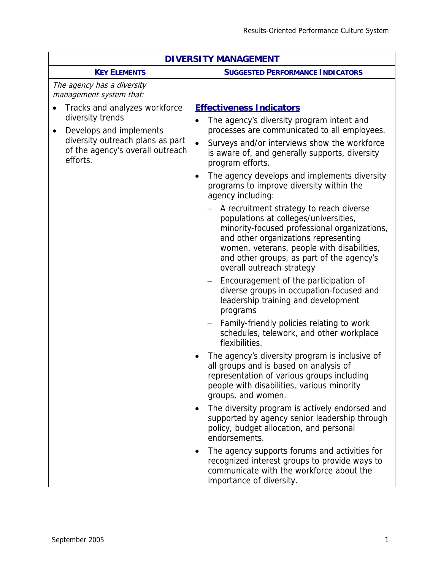| <b>DIVERSITY MANAGEMENT</b>                                                                                                                                                   |                                                                                                                                                                                                                                                                                                  |  |
|-------------------------------------------------------------------------------------------------------------------------------------------------------------------------------|--------------------------------------------------------------------------------------------------------------------------------------------------------------------------------------------------------------------------------------------------------------------------------------------------|--|
| <b>KEY ELEMENTS</b>                                                                                                                                                           | <b>SUGGESTED PERFORMANCE INDICATORS</b>                                                                                                                                                                                                                                                          |  |
| The agency has a diversity<br>management system that:                                                                                                                         |                                                                                                                                                                                                                                                                                                  |  |
| Tracks and analyzes workforce<br>diversity trends<br>Develops and implements<br>$\bullet$<br>diversity outreach plans as part<br>of the agency's overall outreach<br>efforts. | <b>Effectiveness Indicators</b><br>The agency's diversity program intent and<br>$\bullet$<br>processes are communicated to all employees.<br>Surveys and/or interviews show the workforce<br>$\bullet$<br>is aware of, and generally supports, diversity<br>program efforts.                     |  |
|                                                                                                                                                                               | The agency develops and implements diversity<br>٠<br>programs to improve diversity within the<br>agency including:                                                                                                                                                                               |  |
|                                                                                                                                                                               | A recruitment strategy to reach diverse<br>populations at colleges/universities,<br>minority-focused professional organizations,<br>and other organizations representing<br>women, veterans, people with disabilities,<br>and other groups, as part of the agency's<br>overall outreach strategy |  |
|                                                                                                                                                                               | Encouragement of the participation of<br>$\overline{\phantom{m}}$<br>diverse groups in occupation-focused and<br>leadership training and development<br>programs                                                                                                                                 |  |
|                                                                                                                                                                               | Family-friendly policies relating to work<br>schedules, telework, and other workplace<br>flexibilities.                                                                                                                                                                                          |  |
|                                                                                                                                                                               | The agency's diversity program is inclusive of<br>all groups and is based on analysis of<br>representation of various groups including<br>people with disabilities, various minority<br>groups, and women.                                                                                       |  |
|                                                                                                                                                                               | The diversity program is actively endorsed and<br>supported by agency senior leadership through<br>policy, budget allocation, and personal<br>endorsements.                                                                                                                                      |  |
|                                                                                                                                                                               | The agency supports forums and activities for<br>recognized interest groups to provide ways to<br>communicate with the workforce about the<br>importance of diversity.                                                                                                                           |  |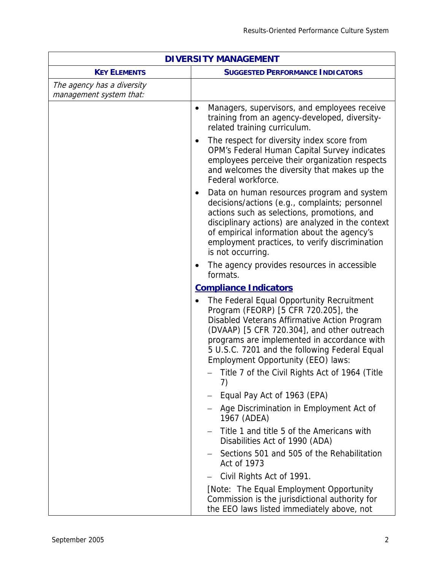| <b>DIVERSITY MANAGEMENT</b>                           |                                                                                                                                                                                                                                                                                                                                     |  |
|-------------------------------------------------------|-------------------------------------------------------------------------------------------------------------------------------------------------------------------------------------------------------------------------------------------------------------------------------------------------------------------------------------|--|
| <b>KEY ELEMENTS</b>                                   | <b>SUGGESTED PERFORMANCE INDICATORS</b>                                                                                                                                                                                                                                                                                             |  |
| The agency has a diversity<br>management system that: |                                                                                                                                                                                                                                                                                                                                     |  |
|                                                       | Managers, supervisors, and employees receive<br>$\bullet$<br>training from an agency-developed, diversity-<br>related training curriculum.                                                                                                                                                                                          |  |
|                                                       | The respect for diversity index score from<br>$\bullet$<br>OPM's Federal Human Capital Survey indicates<br>employees perceive their organization respects<br>and welcomes the diversity that makes up the<br>Federal workforce.                                                                                                     |  |
|                                                       | Data on human resources program and system<br>$\bullet$<br>decisions/actions (e.g., complaints; personnel<br>actions such as selections, promotions, and<br>disciplinary actions) are analyzed in the context<br>of empirical information about the agency's<br>employment practices, to verify discrimination<br>is not occurring. |  |
|                                                       | The agency provides resources in accessible<br>formats.                                                                                                                                                                                                                                                                             |  |
|                                                       | <b>Compliance Indicators</b>                                                                                                                                                                                                                                                                                                        |  |
|                                                       | The Federal Equal Opportunity Recruitment<br>Program (FEORP) [5 CFR 720.205], the<br>Disabled Veterans Affirmative Action Program<br>(DVAAP) [5 CFR 720.304], and other outreach<br>programs are implemented in accordance with<br>5 U.S.C. 7201 and the following Federal Equal<br>Employment Opportunity (EEO) laws:              |  |
|                                                       | - Title 7 of the Civil Rights Act of 1964 (Title<br>7)                                                                                                                                                                                                                                                                              |  |
|                                                       | Equal Pay Act of 1963 (EPA)                                                                                                                                                                                                                                                                                                         |  |
|                                                       | Age Discrimination in Employment Act of<br>1967 (ADEA)                                                                                                                                                                                                                                                                              |  |
|                                                       | Title 1 and title 5 of the Americans with<br>Disabilities Act of 1990 (ADA)                                                                                                                                                                                                                                                         |  |
|                                                       | Sections 501 and 505 of the Rehabilitation<br>Act of 1973                                                                                                                                                                                                                                                                           |  |
|                                                       | Civil Rights Act of 1991.                                                                                                                                                                                                                                                                                                           |  |
|                                                       | [Note: The Equal Employment Opportunity<br>Commission is the jurisdictional authority for<br>the EEO laws listed immediately above, not                                                                                                                                                                                             |  |